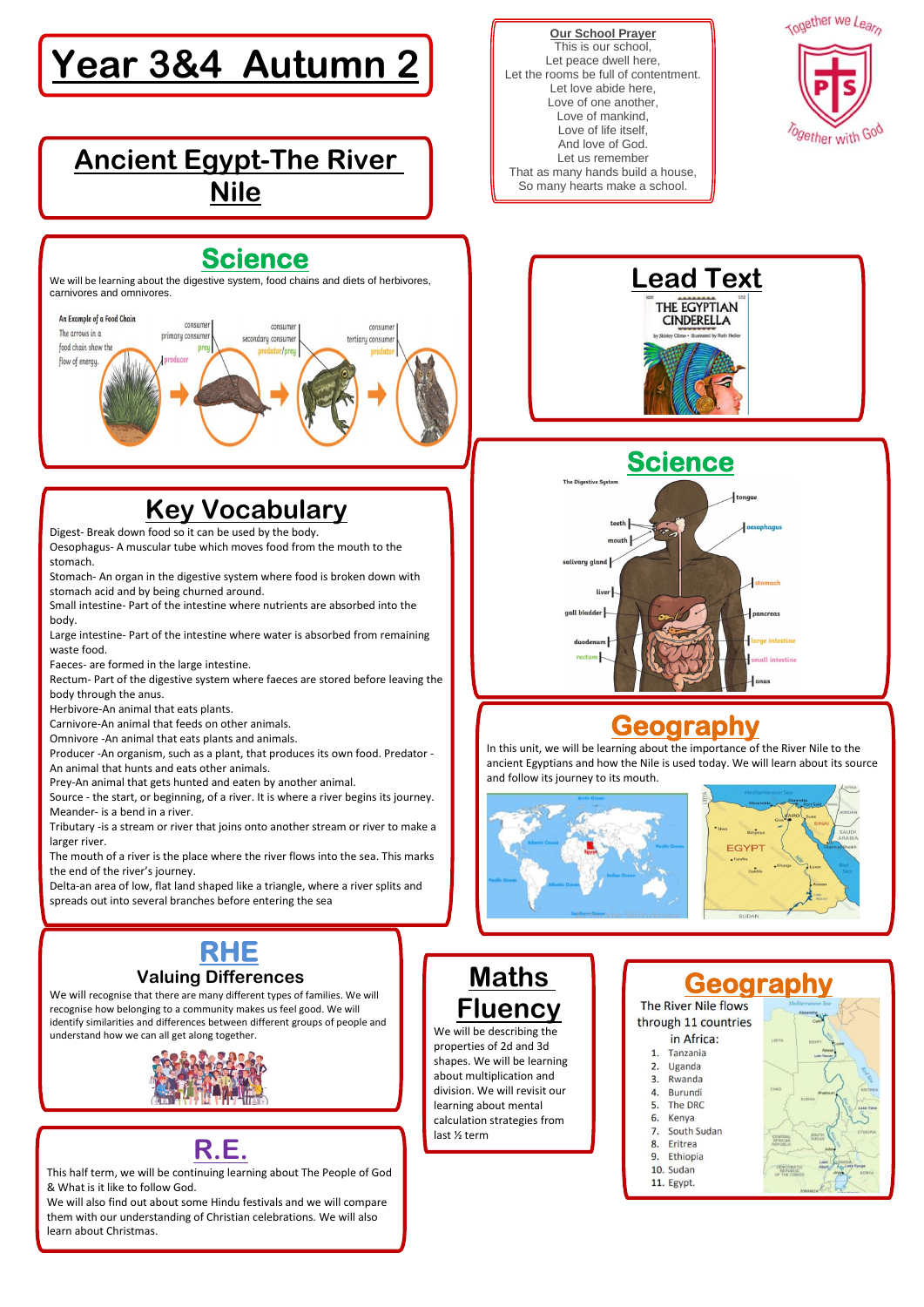#### **Our School Prayer** This is our school, Let peace dwell here, Let the rooms be full of contentment. Let love abide here, Love of one another, Love of mankind, Love of life itself, And love of God. Let us remember That as many hands build a house, So many hearts make a school.



# **Year 3&4 Autumn 2**



#### **Ancient Egypt-The River Nile**

### **Science**



### **Key Vocabulary**

Digest- Break down food so it can be used by the body.

Oesophagus- A muscular tube which moves food from the mouth to the stomach.

Stomach- An organ in the digestive system where food is broken down with stomach acid and by being churned around.

Small intestine- Part of the intestine where nutrients are absorbed into the body.

Large intestine- Part of the intestine where water is absorbed from remaining waste food.

Faeces- are formed in the large intestine.

Rectum- Part of the digestive system where faeces are stored before leaving the body through the anus.

Herbivore-An animal that eats plants.

Carnivore-An animal that feeds on other animals.

Omnivore -An animal that eats plants and animals.

Producer -An organism, such as a plant, that produces its own food. Predator - An animal that hunts and eats other animals.

Prey-An animal that gets hunted and eaten by another animal.

Source - the start, or beginning, of a river. It is where a river begins its journey. Meander- is a bend in a river.

Tributary -is a stream or river that joins onto another stream or river to make a larger river.

The mouth of a river is the place where the river flows into the sea. This marks the end of the river's journey.

Delta-an area of low, flat land shaped like a triangle, where a river splits and spreads out into several branches before entering the sea

#### **Geography**

### **Geography**

In this unit, we will be learning about the importance of the River Nile to the ancient Egyptians and how the Nile is used today. We will learn about its source and follow its journey to its mouth.









We will recognise that there are many different types of families. We will recognise how belonging to a community makes us feel good. We will identify similarities and differences between different groups of people and understand how we can all get along together.



ī L, Ϊ

#### **Maths**

**Fluency**

We will be describing the properties of 2d and 3d shapes. We will be learning about multiplication and division. We will revisit our learning about mental calculation strategies from last ½ term

The River Nile flows through 11 countries

#### in Africa:

- Tanzania  $1.$
- $2.$ Uganda
- Rwanda 3.
- Burundi 4.
- 5. The DRC
- 6. Kenya
- South Sudan 7.
- Eritrea 8.
- Ethiopia 9.
- 10. Sudan
- 11. Egypt.



#### **R.E.**

This half term, we will be continuing learning about The People of God & What is it like to follow God.

We will also find out about some Hindu festivals and we will compare them with our understanding of Christian celebrations. We will also learn about Christmas.